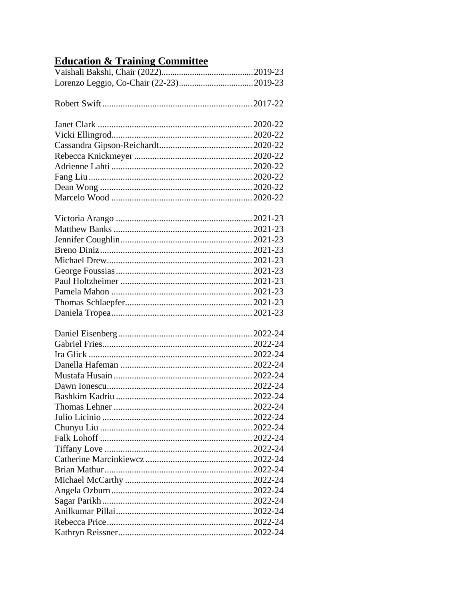## **Education & Training Committee**